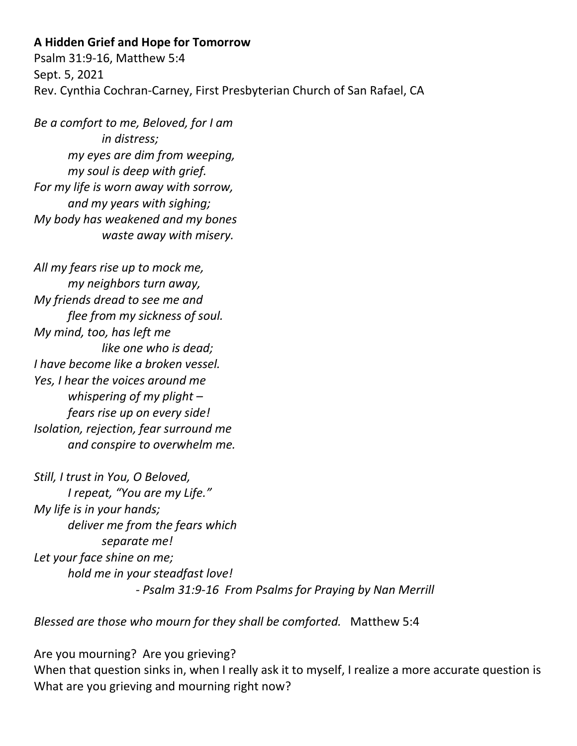## **A Hidden Grief and Hope for Tomorrow**

Psalm 31:9-16, Matthew 5:4 Sept. 5, 2021 Rev. Cynthia Cochran-Carney, First Presbyterian Church of San Rafael, CA

*Be a comfort to me, Beloved, for I am in distress; my eyes are dim from weeping, my soul is deep with grief. For my life is worn away with sorrow, and my years with sighing; My body has weakened and my bones waste away with misery.*

*All my fears rise up to mock me, my neighbors turn away, My friends dread to see me and flee from my sickness of soul. My mind, too, has left me like one who is dead; I have become like a broken vessel. Yes, I hear the voices around me whispering of my plight – fears rise up on every side! Isolation, rejection, fear surround me and conspire to overwhelm me.*

*Still, I trust in You, O Beloved, I repeat, "You are my Life." My life is in your hands; deliver me from the fears which separate me! Let your face shine on me; hold me in your steadfast love! - Psalm 31:9-16 From Psalms for Praying by Nan Merrill*

*Blessed are those who mourn for they shall be comforted.* Matthew 5:4

Are you mourning? Are you grieving? When that question sinks in, when I really ask it to myself, I realize a more accurate question is What are you grieving and mourning right now?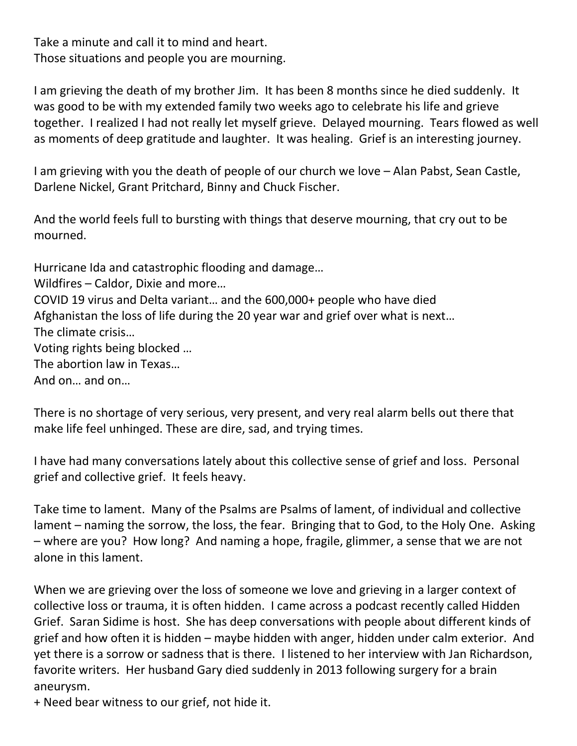Take a minute and call it to mind and heart. Those situations and people you are mourning.

I am grieving the death of my brother Jim. It has been 8 months since he died suddenly. It was good to be with my extended family two weeks ago to celebrate his life and grieve together. I realized I had not really let myself grieve. Delayed mourning. Tears flowed as well as moments of deep gratitude and laughter. It was healing. Grief is an interesting journey.

I am grieving with you the death of people of our church we love – Alan Pabst, Sean Castle, Darlene Nickel, Grant Pritchard, Binny and Chuck Fischer.

And the world feels full to bursting with things that deserve mourning, that cry out to be mourned.

Hurricane Ida and catastrophic flooding and damage…

Wildfires – Caldor, Dixie and more…

COVID 19 virus and Delta variant… and the 600,000+ people who have died

Afghanistan the loss of life during the 20 year war and grief over what is next…

The climate crisis…

Voting rights being blocked …

The abortion law in Texas…

And on… and on…

There is no shortage of very serious, very present, and very real alarm bells out there that make life feel unhinged. These are dire, sad, and trying times.

I have had many conversations lately about this collective sense of grief and loss. Personal grief and collective grief. It feels heavy.

Take time to lament. Many of the Psalms are Psalms of lament, of individual and collective lament – naming the sorrow, the loss, the fear. Bringing that to God, to the Holy One. Asking – where are you? How long? And naming a hope, fragile, glimmer, a sense that we are not alone in this lament.

When we are grieving over the loss of someone we love and grieving in a larger context of collective loss or trauma, it is often hidden. I came across a podcast recently called Hidden Grief. Saran Sidime is host. She has deep conversations with people about different kinds of grief and how often it is hidden – maybe hidden with anger, hidden under calm exterior. And yet there is a sorrow or sadness that is there. I listened to her interview with Jan Richardson, favorite writers. Her husband Gary died suddenly in 2013 following surgery for a brain aneurysm.

+ Need bear witness to our grief, not hide it.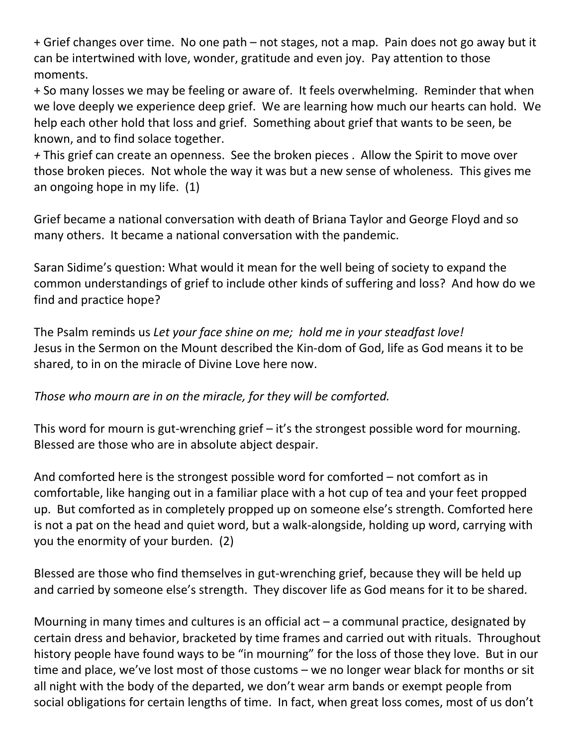+ Grief changes over time. No one path – not stages, not a map. Pain does not go away but it can be intertwined with love, wonder, gratitude and even joy. Pay attention to those moments.

+ So many losses we may be feeling or aware of. It feels overwhelming. Reminder that when we love deeply we experience deep grief. We are learning how much our hearts can hold. We help each other hold that loss and grief. Something about grief that wants to be seen, be known, and to find solace together.

*+* This grief can create an openness. See the broken pieces . Allow the Spirit to move over those broken pieces. Not whole the way it was but a new sense of wholeness. This gives me an ongoing hope in my life. (1)

Grief became a national conversation with death of Briana Taylor and George Floyd and so many others. It became a national conversation with the pandemic.

Saran Sidime's question: What would it mean for the well being of society to expand the common understandings of grief to include other kinds of suffering and loss? And how do we find and practice hope?

The Psalm reminds us *Let your face shine on me; hold me in your steadfast love!* Jesus in the Sermon on the Mount described the Kin-dom of God, life as God means it to be shared, to in on the miracle of Divine Love here now.

## *Those who mourn are in on the miracle, for they will be comforted.*

This word for mourn is gut-wrenching grief – it's the strongest possible word for mourning. Blessed are those who are in absolute abject despair.

And comforted here is the strongest possible word for comforted – not comfort as in comfortable, like hanging out in a familiar place with a hot cup of tea and your feet propped up. But comforted as in completely propped up on someone else's strength. Comforted here is not a pat on the head and quiet word, but a walk-alongside, holding up word, carrying with you the enormity of your burden. (2)

Blessed are those who find themselves in gut-wrenching grief, because they will be held up and carried by someone else's strength. They discover life as God means for it to be shared.

Mourning in many times and cultures is an official act  $-$  a communal practice, designated by certain dress and behavior, bracketed by time frames and carried out with rituals. Throughout history people have found ways to be "in mourning" for the loss of those they love. But in our time and place, we've lost most of those customs – we no longer wear black for months or sit all night with the body of the departed, we don't wear arm bands or exempt people from social obligations for certain lengths of time. In fact, when great loss comes, most of us don't